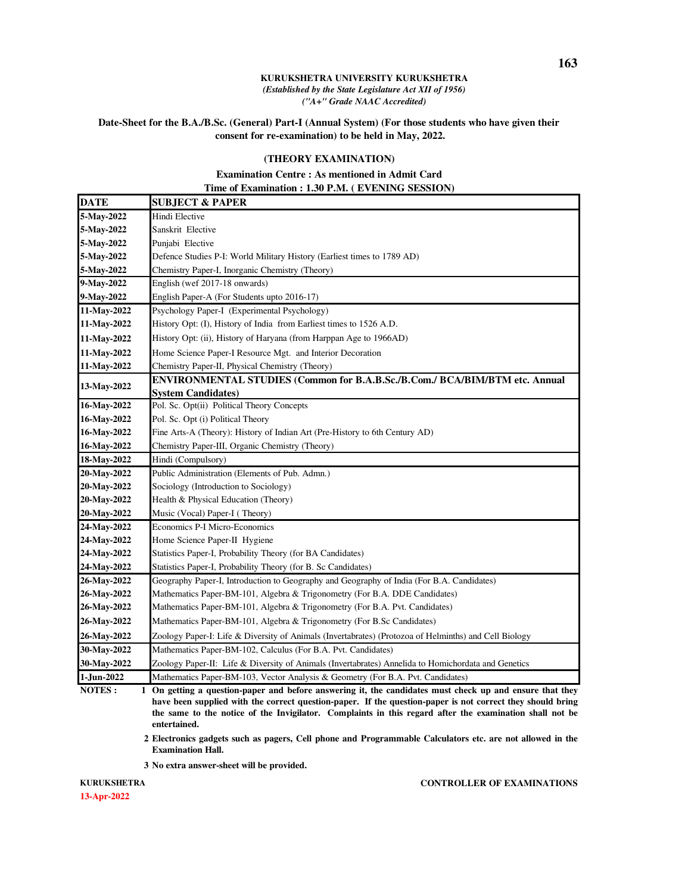### **Date-Sheet for the B.A./B.Sc. (General) Part-I (Annual System) (For those students who have given their consent for re-examination) to be held in May, 2022.**

### **(THEORY EXAMINATION)**

## **Examination Centre : As mentioned in Admit Card Time of Examination : 1.30 P.M. ( EVENING SESSION)**

| <b>DATE</b> | <b>SUBJECT &amp; PAPER</b>                                                                               |
|-------------|----------------------------------------------------------------------------------------------------------|
| 5-May-2022  | Hindi Elective                                                                                           |
| 5-May-2022  | Sanskrit Elective                                                                                        |
| 5-May-2022  | Punjabi Elective                                                                                         |
| 5-May-2022  | Defence Studies P-I: World Military History (Earliest times to 1789 AD)                                  |
| 5-May-2022  | Chemistry Paper-I, Inorganic Chemistry (Theory)                                                          |
| 9-May-2022  | English (wef 2017-18 onwards)                                                                            |
| 9-May-2022  | English Paper-A (For Students upto 2016-17)                                                              |
| 11-May-2022 | Psychology Paper-I (Experimental Psychology)                                                             |
| 11-May-2022 | History Opt: (I), History of India from Earliest times to 1526 A.D.                                      |
| 11-May-2022 | History Opt: (ii), History of Haryana (from Harppan Age to 1966AD)                                       |
| 11-May-2022 | Home Science Paper-I Resource Mgt. and Interior Decoration                                               |
| 11-May-2022 | Chemistry Paper-II, Physical Chemistry (Theory)                                                          |
|             | ENVIRONMENTAL STUDIES (Common for B.A.B.Sc./B.Com./ BCA/BIM/BTM etc. Annual                              |
| 13-May-2022 | <b>System Candidates)</b>                                                                                |
| 16-May-2022 | Pol. Sc. Opt(ii) Political Theory Concepts                                                               |
| 16-May-2022 | Pol. Sc. Opt (i) Political Theory                                                                        |
| 16-May-2022 | Fine Arts-A (Theory): History of Indian Art (Pre-History to 6th Century AD)                              |
| 16-May-2022 | Chemistry Paper-III, Organic Chemistry (Theory)                                                          |
| 18-May-2022 | Hindi (Compulsory)                                                                                       |
| 20-May-2022 | Public Administration (Elements of Pub. Admn.)                                                           |
| 20-May-2022 | Sociology (Introduction to Sociology)                                                                    |
| 20-May-2022 | Health & Physical Education (Theory)                                                                     |
| 20-May-2022 | Music (Vocal) Paper-I (Theory)                                                                           |
| 24-May-2022 | Economics P-I Micro-Economics                                                                            |
| 24-May-2022 | Home Science Paper-II Hygiene                                                                            |
| 24-May-2022 | Statistics Paper-I, Probability Theory (for BA Candidates)                                               |
| 24-May-2022 | Statistics Paper-I, Probability Theory (for B. Sc Candidates)                                            |
| 26-May-2022 | Geography Paper-I, Introduction to Geography and Geography of India (For B.A. Candidates)                |
| 26-May-2022 | Mathematics Paper-BM-101, Algebra & Trigonometry (For B.A. DDE Candidates)                               |
| 26-May-2022 | Mathematics Paper-BM-101, Algebra & Trigonometry (For B.A. Pvt. Candidates)                              |
| 26-May-2022 | Mathematics Paper-BM-101, Algebra & Trigonometry (For B.Sc Candidates)                                   |
| 26-May-2022 | Zoology Paper-I: Life & Diversity of Animals (Invertabrates) (Protozoa of Helminths) and Cell Biology    |
| 30-May-2022 | Mathematics Paper-BM-102, Calculus (For B.A. Pvt. Candidates)                                            |
| 30-May-2022 | Zoology Paper-II: Life & Diversity of Animals (Invertabrates) Annelida to Homichordata and Genetics      |
| 1-Jun-2022  | Mathematics Paper-BM-103, Vector Analysis & Geometry (For B.A. Pvt. Candidates)                          |
| NOTES:      | 1 On getting a question-paper and before answering it, the candidates must check up and ensure that they |

**have been supplied with the correct question-paper. If the question-paper is not correct they should bring the same to the notice of the Invigilator. Complaints in this regard after the examination shall not be entertained.**

. **2 Electronics gadgets such as pagers, Cell phone and Programmable Calculators etc. are not allowed in the Examination Hall.**

. **3 No extra answer-sheet will be provided.**

**13-Apr-2022 KURUKSHETRA**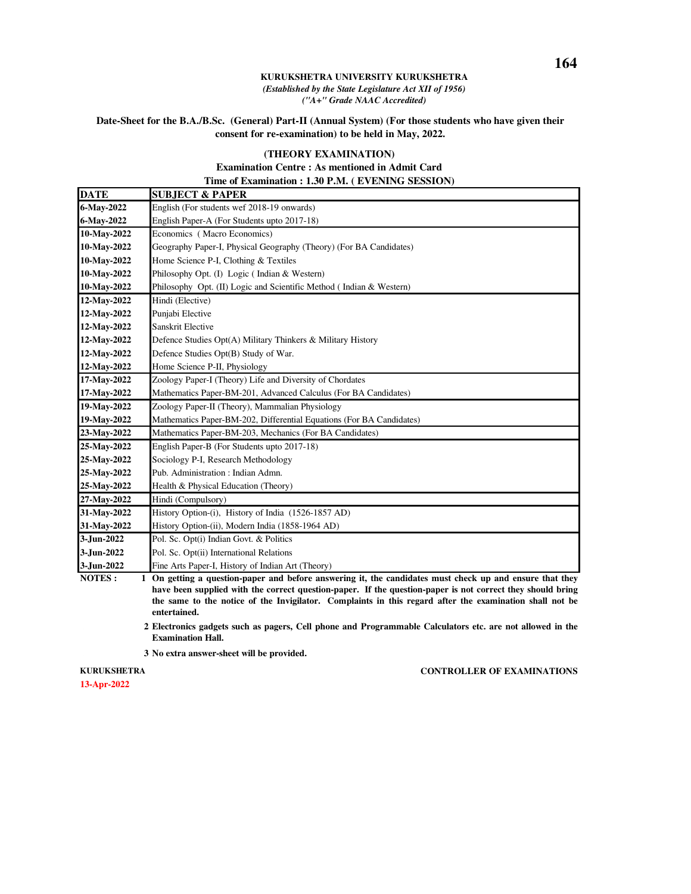### **Date-Sheet for the B.A./B.Sc. (General) Part-II (Annual System) (For those students who have given their consent for re-examination) to be held in May, 2022.**

### **(THEORY EXAMINATION)**

## **Examination Centre : As mentioned in Admit Card Time of Examination : 1.30 P.M. ( EVENING SESSION)**

| <b>SUBJECT &amp; PAPER</b>                                                                                                                                                                                             |
|------------------------------------------------------------------------------------------------------------------------------------------------------------------------------------------------------------------------|
| English (For students wef 2018-19 onwards)                                                                                                                                                                             |
| English Paper-A (For Students upto 2017-18)                                                                                                                                                                            |
| Economics (Macro Economics)                                                                                                                                                                                            |
| Geography Paper-I, Physical Geography (Theory) (For BA Candidates)                                                                                                                                                     |
| Home Science P-I, Clothing & Textiles                                                                                                                                                                                  |
| Philosophy Opt. (I) Logic (Indian & Western)                                                                                                                                                                           |
| Philosophy Opt. (II) Logic and Scientific Method (Indian & Western)                                                                                                                                                    |
| Hindi (Elective)                                                                                                                                                                                                       |
| Punjabi Elective                                                                                                                                                                                                       |
| Sanskrit Elective                                                                                                                                                                                                      |
| Defence Studies Opt(A) Military Thinkers & Military History                                                                                                                                                            |
| Defence Studies Opt(B) Study of War.                                                                                                                                                                                   |
| Home Science P-II, Physiology                                                                                                                                                                                          |
| Zoology Paper-I (Theory) Life and Diversity of Chordates                                                                                                                                                               |
| Mathematics Paper-BM-201, Advanced Calculus (For BA Candidates)                                                                                                                                                        |
| Zoology Paper-II (Theory), Mammalian Physiology                                                                                                                                                                        |
| Mathematics Paper-BM-202, Differential Equations (For BA Candidates)                                                                                                                                                   |
| Mathematics Paper-BM-203, Mechanics (For BA Candidates)                                                                                                                                                                |
| English Paper-B (For Students upto 2017-18)                                                                                                                                                                            |
| Sociology P-I, Research Methodology                                                                                                                                                                                    |
| Pub. Administration: Indian Admn.                                                                                                                                                                                      |
| Health & Physical Education (Theory)                                                                                                                                                                                   |
| Hindi (Compulsory)                                                                                                                                                                                                     |
| History Option-(i), History of India (1526-1857 AD)                                                                                                                                                                    |
| History Option-(ii), Modern India (1858-1964 AD)                                                                                                                                                                       |
| Pol. Sc. Opt(i) Indian Govt. & Politics                                                                                                                                                                                |
| Pol. Sc. Opt(ii) International Relations                                                                                                                                                                               |
| Fine Arts Paper-I, History of Indian Art (Theory)                                                                                                                                                                      |
| 1 On getting a question-paper and before answering it, the candidates must check up and ensure that they<br>hore hear cumplied with the connect question nonce. If the question nonen is not connect thay should huing |
|                                                                                                                                                                                                                        |

**have been supplied with the correct question-paper. If the question-paper is not correct they should bring the same to the notice of the Invigilator. Complaints in this regard after the examination shall not be entertained.**

- . **2 Electronics gadgets such as pagers, Cell phone and Programmable Calculators etc. are not allowed in the Examination Hall.**
- . **3 No extra answer-sheet will be provided.**

**13-Apr-2022 KURUKSHETRA**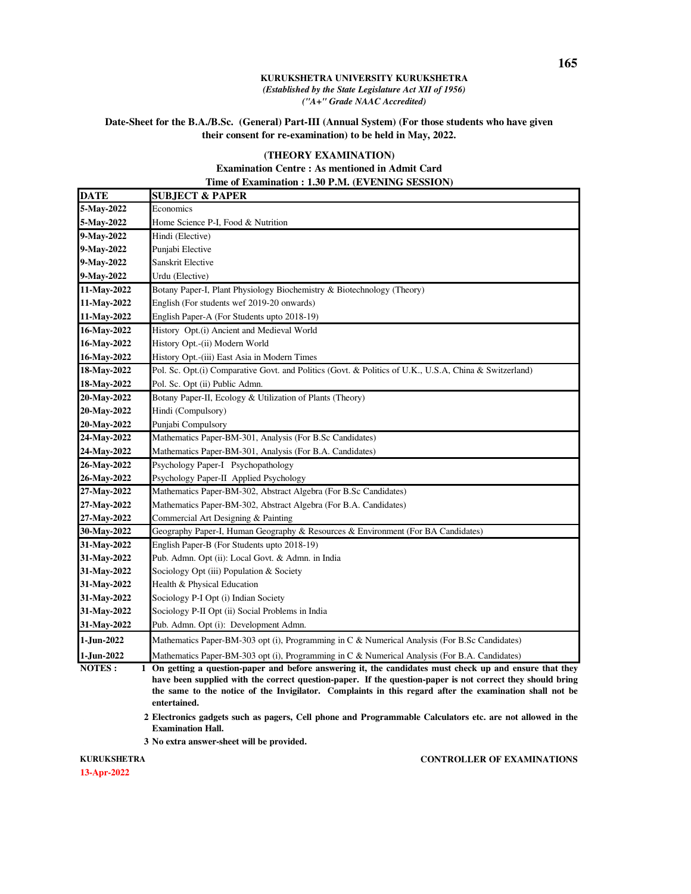### **Date-Sheet for the B.A./B.Sc. (General) Part-III (Annual System) (For those students who have given their consent for re-examination) to be held in May, 2022.**

### **(THEORY EXAMINATION)**

### **Examination Centre : As mentioned in Admit Card Time of Examination : 1.30 P.M. (EVENING SESSION)**

| <b>DATE</b> | <b>SUBJECT &amp; PAPER</b>                                                                               |
|-------------|----------------------------------------------------------------------------------------------------------|
| 5-May-2022  | Economics                                                                                                |
| 5-May-2022  | Home Science P-I, Food & Nutrition                                                                       |
| 9-May-2022  | Hindi (Elective)                                                                                         |
| 9-May-2022  | Punjabi Elective                                                                                         |
| 9-May-2022  | Sanskrit Elective                                                                                        |
| 9-May-2022  | Urdu (Elective)                                                                                          |
| 11-May-2022 | Botany Paper-I, Plant Physiology Biochemistry & Biotechnology (Theory)                                   |
| 11-May-2022 | English (For students wef 2019-20 onwards)                                                               |
| 11-May-2022 | English Paper-A (For Students upto 2018-19)                                                              |
| 16-May-2022 | History Opt.(i) Ancient and Medieval World                                                               |
| 16-May-2022 | History Opt.-(ii) Modern World                                                                           |
| 16-May-2022 | History Opt.-(iii) East Asia in Modern Times                                                             |
| 18-May-2022 | Pol. Sc. Opt.(i) Comparative Govt. and Politics (Govt. & Politics of U.K., U.S.A, China & Switzerland)   |
| 18-May-2022 | Pol. Sc. Opt (ii) Public Admn.                                                                           |
| 20-May-2022 | Botany Paper-II, Ecology & Utilization of Plants (Theory)                                                |
| 20-May-2022 | Hindi (Compulsory)                                                                                       |
| 20-May-2022 | Punjabi Compulsory                                                                                       |
| 24-May-2022 | Mathematics Paper-BM-301, Analysis (For B.Sc Candidates)                                                 |
| 24-May-2022 | Mathematics Paper-BM-301, Analysis (For B.A. Candidates)                                                 |
| 26-May-2022 | Psychology Paper-I Psychopathology                                                                       |
| 26-May-2022 | Psychology Paper-II Applied Psychology                                                                   |
| 27-May-2022 | Mathematics Paper-BM-302, Abstract Algebra (For B.Sc Candidates)                                         |
| 27-May-2022 | Mathematics Paper-BM-302, Abstract Algebra (For B.A. Candidates)                                         |
| 27-May-2022 | Commercial Art Designing & Painting                                                                      |
| 30-May-2022 | Geography Paper-I, Human Geography & Resources & Environment (For BA Candidates)                         |
| 31-May-2022 | English Paper-B (For Students upto 2018-19)                                                              |
| 31-May-2022 | Pub. Admn. Opt (ii): Local Govt. & Admn. in India                                                        |
| 31-May-2022 | Sociology Opt (iii) Population & Society                                                                 |
| 31-May-2022 | Health & Physical Education                                                                              |
| 31-May-2022 | Sociology P-I Opt (i) Indian Society                                                                     |
| 31-May-2022 | Sociology P-II Opt (ii) Social Problems in India                                                         |
| 31-May-2022 | Pub. Admn. Opt (i): Development Admn.                                                                    |
| 1-Jun-2022  | Mathematics Paper-BM-303 opt (i), Programming in C & Numerical Analysis (For B.Sc Candidates)            |
| 1-Jun-2022  | Mathematics Paper-BM-303 opt (i), Programming in C & Numerical Analysis (For B.A. Candidates)            |
| NOTES:      | 1 On getting a question-paper and before answering it, the candidates must check up and ensure that they |

**have been supplied with the correct question-paper. If the question-paper is not correct they should bring the same to the notice of the Invigilator. Complaints in this regard after the examination shall not be entertained.**

. **2 Electronics gadgets such as pagers, Cell phone and Programmable Calculators etc. are not allowed in the Examination Hall.**

. **3 No extra answer-sheet will be provided.**

**13-Apr-2022 KURUKSHETRA**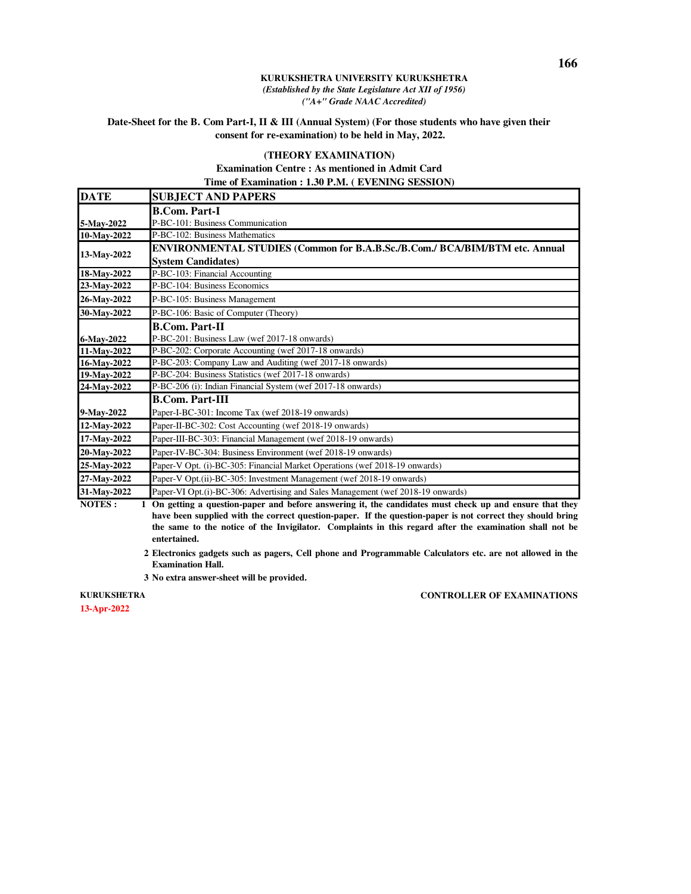### **Date-Sheet for the B. Com Part-I, II & III (Annual System) (For those students who have given their consent for re-examination) to be held in May, 2022.**

### **(THEORY EXAMINATION)**

### **Examination Centre : As mentioned in Admit Card Time of Examination : 1.30 P.M. ( EVENING SESSION)**

| <b>DATE</b> | <b>SUBJECT AND PAPERS</b>                                                       |
|-------------|---------------------------------------------------------------------------------|
|             | <b>B.Com. Part-I</b>                                                            |
| 5-May-2022  | P-BC-101: Business Communication                                                |
| 10-May-2022 | P-BC-102: Business Mathematics                                                  |
| 13-May-2022 | ENVIRONMENTAL STUDIES (Common for B.A.B.Sc./B.Com./ BCA/BIM/BTM etc. Annual     |
|             | <b>System Candidates)</b>                                                       |
| 18-May-2022 | P-BC-103: Financial Accounting                                                  |
| 23-May-2022 | P-BC-104: Business Economics                                                    |
| 26-May-2022 | P-BC-105: Business Management                                                   |
| 30-May-2022 | P-BC-106: Basic of Computer (Theory)                                            |
|             | <b>B.Com. Part-II</b>                                                           |
| 6-May-2022  | P-BC-201: Business Law (wef 2017-18 onwards)                                    |
| 11-May-2022 | P-BC-202: Corporate Accounting (wef 2017-18 onwards)                            |
| 16-May-2022 | P-BC-203: Company Law and Auditing (wef 2017-18 onwards)                        |
| 19-May-2022 | P-BC-204: Business Statistics (wef 2017-18 onwards)                             |
| 24-May-2022 | P-BC-206 (i): Indian Financial System (wef 2017-18 onwards)                     |
|             | <b>B.Com. Part-III</b>                                                          |
| 9-May-2022  | Paper-I-BC-301: Income Tax (wef 2018-19 onwards)                                |
| 12-May-2022 | Paper-II-BC-302: Cost Accounting (wef 2018-19 onwards)                          |
| 17-May-2022 | Paper-III-BC-303: Financial Management (wef 2018-19 onwards)                    |
| 20-May-2022 | Paper-IV-BC-304: Business Environment (wef 2018-19 onwards)                     |
| 25-May-2022 | Paper-V Opt. (i)-BC-305: Financial Market Operations (wef 2018-19 onwards)      |
| 27-May-2022 | Paper-V Opt.(ii)-BC-305: Investment Management (wef 2018-19 onwards)            |
| 31-May-2022 | Paper-VI Opt.(i)-BC-306: Advertising and Sales Management (wef 2018-19 onwards) |

**NOTES : 1 On getting a question-paper and before answering it, the candidates must check up and ensure that they have been supplied with the correct question-paper. If the question-paper is not correct they should bring the same to the notice of the Invigilator. Complaints in this regard after the examination shall not be entertained.**

- . **2 Electronics gadgets such as pagers, Cell phone and Programmable Calculators etc. are not allowed in the Examination Hall.**
- . **3 No extra answer-sheet will be provided.**

**CONTROLLER OF EXAMINATIONS**

**KURUKSHETRA** 

**13-Apr-2022**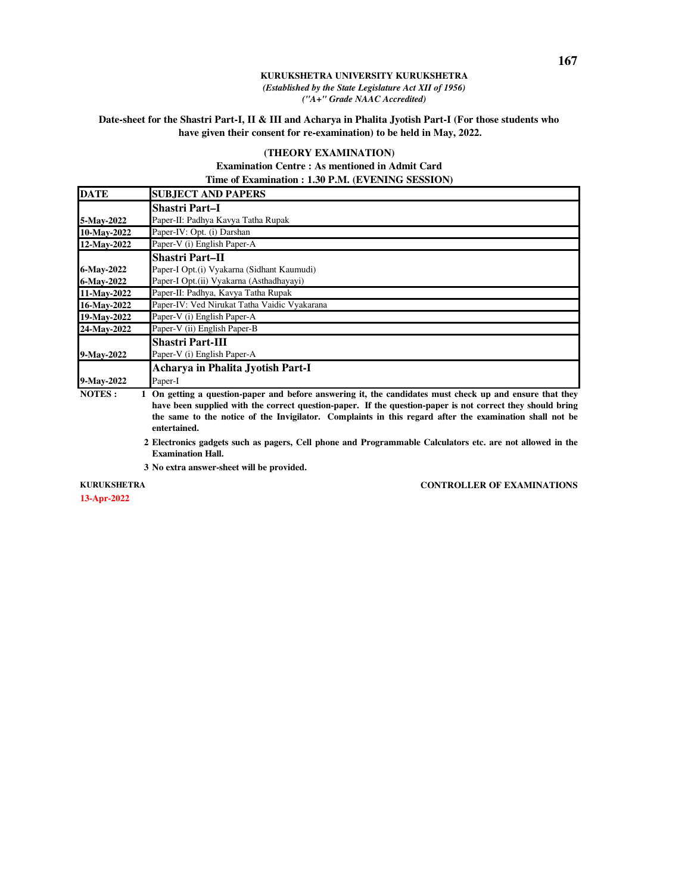### **Date-sheet for the Shastri Part-I, II & III and Acharya in Phalita Jyotish Part-I (For those students who have given their consent for re-examination) to be held in May, 2022.**

### **(THEORY EXAMINATION)**

### **Examination Centre : As mentioned in Admit Card Time of Examination : 1.30 P.M. (EVENING SESSION)**

| <b>DATE</b>   | <b>SUBJECT AND PAPERS</b>                                                                                |
|---------------|----------------------------------------------------------------------------------------------------------|
|               | <b>Shastri Part–I</b>                                                                                    |
| 5-May-2022    | Paper-II: Padhya Kavya Tatha Rupak                                                                       |
| 10-May-2022   | Paper-IV: Opt. (i) Darshan                                                                               |
| 12-May-2022   | Paper-V (i) English Paper-A                                                                              |
|               | <b>Shastri Part-II</b>                                                                                   |
| 6-May-2022    | Paper-I Opt.(i) Vyakarna (Sidhant Kaumudi)                                                               |
| 6-May-2022    | Paper-I Opt.(ii) Vyakarna (Asthadhayayi)                                                                 |
| 11-May-2022   | Paper-II: Padhya, Kavya Tatha Rupak                                                                      |
| 16-May-2022   | Paper-IV: Ved Nirukat Tatha Vaidic Vyakarana                                                             |
| 19-May-2022   | Paper-V (i) English Paper-A                                                                              |
| 24-May-2022   | Paper-V (ii) English Paper-B                                                                             |
|               | <b>Shastri Part-III</b>                                                                                  |
| 9-May-2022    | Paper-V (i) English Paper-A                                                                              |
|               | Acharya in Phalita Jyotish Part-I                                                                        |
| 9-May-2022    | Paper-I                                                                                                  |
| <b>NOTES:</b> | 1 On getting a question-paper and before answering it, the candidates must check up and ensure that they |

**have been supplied with the correct question-paper. If the question-paper is not correct they should bring the same to the notice of the Invigilator. Complaints in this regard after the examination shall not be entertained.**

. **2 Electronics gadgets such as pagers, Cell phone and Programmable Calculators etc. are not allowed in the Examination Hall.**

. **3 No extra answer-sheet will be provided.**

**KURUKSHETRA** 

**13-Apr-2022**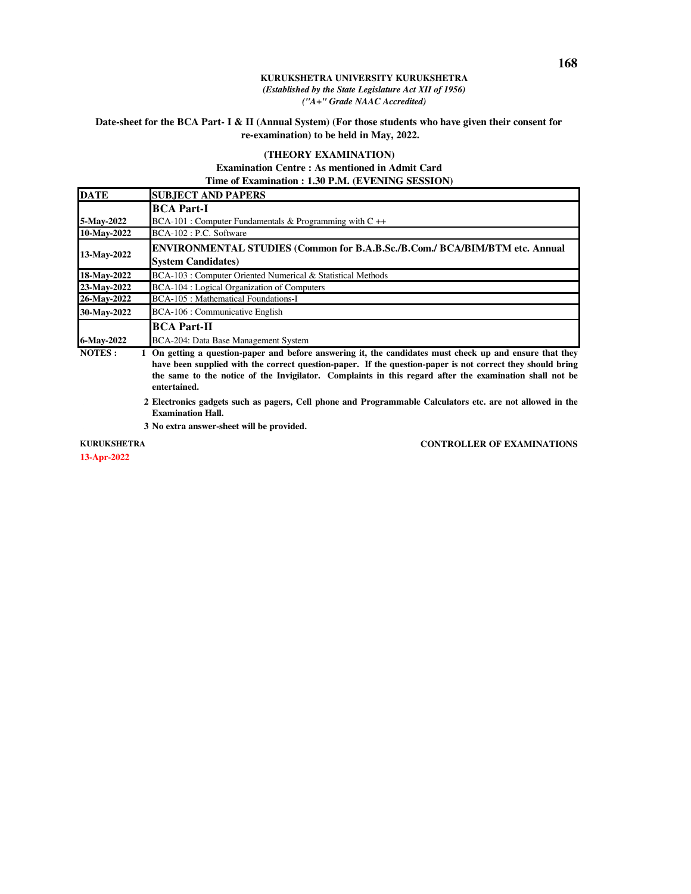### **Date-sheet for the BCA Part- I & II (Annual System) (For those students who have given their consent for re-examination) to be held in May, 2022.**

### **(THEORY EXAMINATION)**

## **Examination Centre : As mentioned in Admit Card Time of Examination : 1.30 P.M. (EVENING SESSION)**

| <b>DATE</b>            | <b>SUBJECT AND PAPERS</b>                                                                                        |
|------------------------|------------------------------------------------------------------------------------------------------------------|
|                        | <b>BCA Part-I</b>                                                                                                |
| 5-May-2022             | $BCA-101$ : Computer Fundamentals & Programming with C ++                                                        |
| 10-May-2022            | BCA-102 : P.C. Software                                                                                          |
| 13-May-2022            | <b>ENVIRONMENTAL STUDIES (Common for B.A.B.Sc./B.Com./ BCA/BIM/BTM etc. Annual</b><br><b>System Candidates</b> ) |
| 18-May-2022            | BCA-103 : Computer Oriented Numerical & Statistical Methods                                                      |
| 23-May-2022            | BCA-104 : Logical Organization of Computers                                                                      |
| 26-May-2022            | <b>BCA-105</b> : Mathematical Foundations-I                                                                      |
| 30-May-2022            | BCA-106 : Communicative English                                                                                  |
|                        | <b>BCA Part-II</b>                                                                                               |
| 6-May-2022<br>$\cdots$ | BCA-204: Data Base Management System                                                                             |

**NOTES : 1 On getting a question-paper and before answering it, the candidates must check up and ensure that they have been supplied with the correct question-paper. If the question-paper is not correct they should bring the same to the notice of the Invigilator. Complaints in this regard after the examination shall not be entertained.**

. **2 Electronics gadgets such as pagers, Cell phone and Programmable Calculators etc. are not allowed in the Examination Hall.**

. **3 No extra answer-sheet will be provided.**

#### **KURUKSHETRA**

**13-Apr-2022**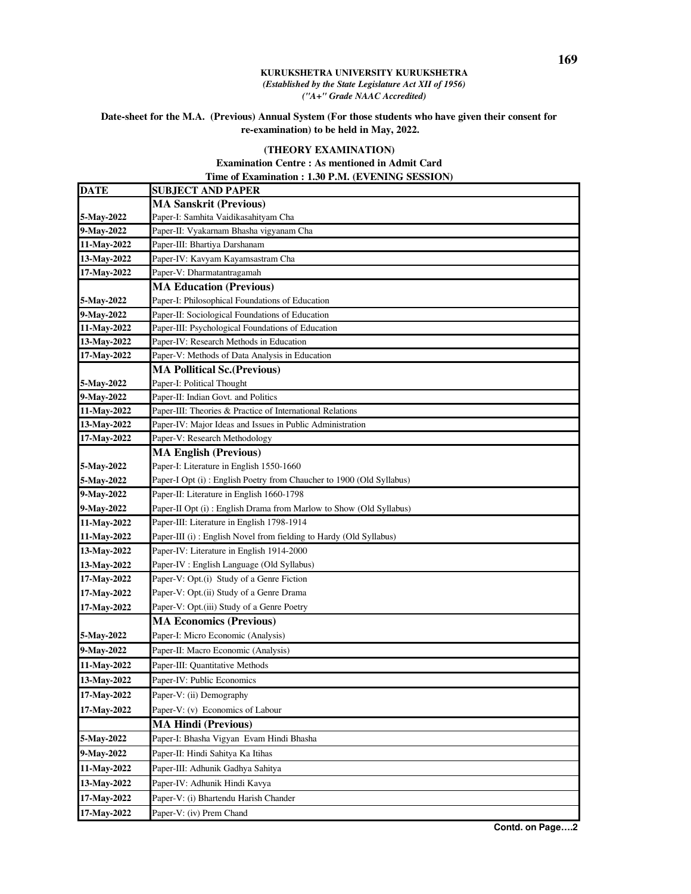## **Date-sheet for the M.A. (Previous) Annual System (For those students who have given their consent for re-examination) to be held in May, 2022.**

## **(THEORY EXAMINATION)**

## **Examination Centre : As mentioned in Admit Card Time of Examination : 1.30 P.M. (EVENING SESSION)**

| <b>DATE</b> | <b>SUBJECT AND PAPER</b>                                             |
|-------------|----------------------------------------------------------------------|
|             | <b>MA Sanskrit (Previous)</b>                                        |
| 5-May-2022  | Paper-I: Samhita Vaidikasahityam Cha                                 |
| 9-May-2022  | Paper-II: Vyakarnam Bhasha vigyanam Cha                              |
| 11-May-2022 | Paper-III: Bhartiya Darshanam                                        |
| 13-May-2022 | Paper-IV: Kavyam Kayamsastram Cha                                    |
| 17-May-2022 | Paper-V: Dharmatantragamah                                           |
|             | <b>MA Education (Previous)</b>                                       |
| 5-May-2022  | Paper-I: Philosophical Foundations of Education                      |
| 9-May-2022  | Paper-II: Sociological Foundations of Education                      |
| 11-May-2022 | Paper-III: Psychological Foundations of Education                    |
| 13-May-2022 | Paper-IV: Research Methods in Education                              |
| 17-May-2022 | Paper-V: Methods of Data Analysis in Education                       |
|             | <b>MA Pollitical Sc. (Previous)</b>                                  |
| 5-May-2022  | Paper-I: Political Thought                                           |
| 9-May-2022  | Paper-II: Indian Govt. and Politics                                  |
| 11-May-2022 | Paper-III: Theories & Practice of International Relations            |
| 13-May-2022 | Paper-IV: Major Ideas and Issues in Public Administration            |
| 17-May-2022 | Paper-V: Research Methodology                                        |
|             | <b>MA English (Previous)</b>                                         |
| 5-May-2022  | Paper-I: Literature in English 1550-1660                             |
| 5-May-2022  | Paper-I Opt (i): English Poetry from Chaucher to 1900 (Old Syllabus) |
| 9-May-2022  | Paper-II: Literature in English 1660-1798                            |
| 9-May-2022  | Paper-II Opt (i): English Drama from Marlow to Show (Old Syllabus)   |
| 11-May-2022 | Paper-III: Literature in English 1798-1914                           |
| 11-May-2022 | Paper-III (i): English Novel from fielding to Hardy (Old Syllabus)   |
| 13-May-2022 | Paper-IV: Literature in English 1914-2000                            |
| 13-May-2022 | Paper-IV : English Language (Old Syllabus)                           |
| 17-May-2022 | Paper-V: Opt.(i) Study of a Genre Fiction                            |
| 17-May-2022 | Paper-V: Opt.(ii) Study of a Genre Drama                             |
| 17-May-2022 | Paper-V: Opt.(iii) Study of a Genre Poetry                           |
|             | <b>MA Economics (Previous)</b>                                       |
| 5-May-2022  | Paper-I: Micro Economic (Analysis)                                   |
| 9-May-2022  | Paper-II: Macro Economic (Analysis)                                  |
| 11-May-2022 | Paper-III: Quantitative Methods                                      |
| 13-May-2022 | Paper-IV: Public Economics                                           |
| 17-May-2022 | Paper-V: (ii) Demography                                             |
| 17-May-2022 | Paper-V: (v) Economics of Labour                                     |
|             | <b>MA Hindi (Previous)</b>                                           |
| 5-May-2022  | Paper-I: Bhasha Vigyan Evam Hindi Bhasha                             |
| 9-May-2022  | Paper-II: Hindi Sahitya Ka Itihas                                    |
| 11-May-2022 | Paper-III: Adhunik Gadhya Sahitya                                    |
| 13-May-2022 | Paper-IV: Adhunik Hindi Kavya                                        |
| 17-May-2022 | Paper-V: (i) Bhartendu Harish Chander                                |
| 17-May-2022 | Paper-V: (iv) Prem Chand                                             |
|             |                                                                      |

**Contd. on Page….2**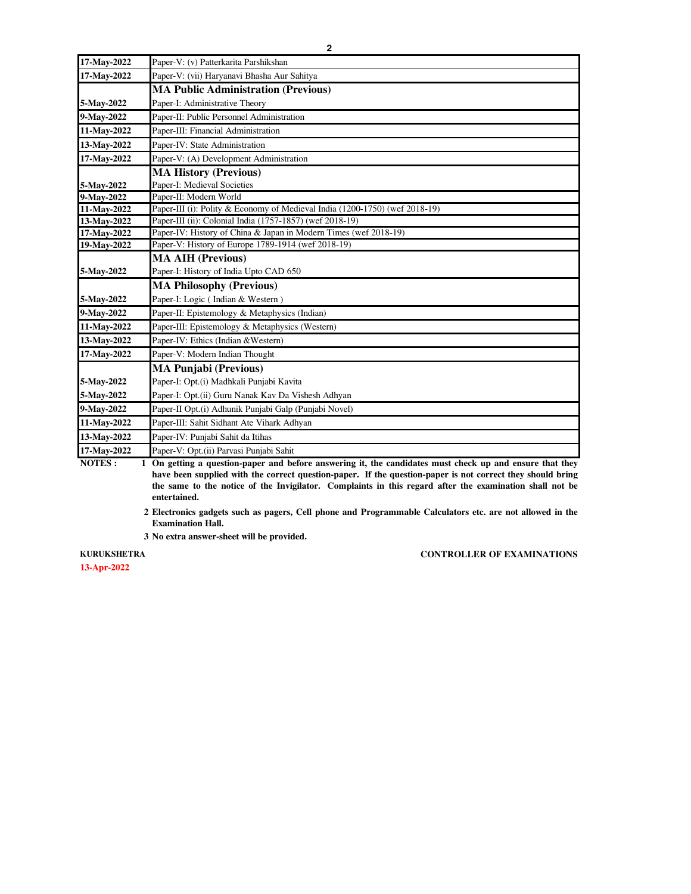| 17-May-2022 | Paper-V: (v) Patterkarita Parshikshan                                       |
|-------------|-----------------------------------------------------------------------------|
| 17-May-2022 | Paper-V: (vii) Haryanavi Bhasha Aur Sahitya                                 |
|             | <b>MA Public Administration (Previous)</b>                                  |
| 5-May-2022  | Paper-I: Administrative Theory                                              |
| 9-May-2022  | Paper-II: Public Personnel Administration                                   |
| 11-May-2022 | Paper-III: Financial Administration                                         |
| 13-May-2022 | Paper-IV: State Administration                                              |
| 17-May-2022 | Paper-V: (A) Development Administration                                     |
|             | <b>MA History (Previous)</b>                                                |
| 5-May-2022  | Paper-I: Medieval Societies                                                 |
| 9-May-2022  | Paper-II: Modern World                                                      |
| 11-May-2022 | Paper-III (i): Polity & Economy of Medieval India (1200-1750) (wef 2018-19) |
| 13-May-2022 | Paper-III (ii): Colonial India (1757-1857) (wef 2018-19)                    |
| 17-May-2022 | Paper-IV: History of China & Japan in Modern Times (wef 2018-19)            |
| 19-May-2022 | Paper-V: History of Europe 1789-1914 (wef 2018-19)                          |
|             | <b>MA AIH (Previous)</b>                                                    |
| 5-May-2022  | Paper-I: History of India Upto CAD 650                                      |
|             | <b>MA Philosophy (Previous)</b>                                             |
| 5-May-2022  | Paper-I: Logic (Indian & Western)                                           |
| 9-May-2022  | Paper-II: Epistemology & Metaphysics (Indian)                               |
| 11-May-2022 | Paper-III: Epistemology & Metaphysics (Western)                             |
| 13-May-2022 | Paper-IV: Ethics (Indian & Western)                                         |
| 17-May-2022 | Paper-V: Modern Indian Thought                                              |
|             | <b>MA Punjabi (Previous)</b>                                                |
| 5-May-2022  | Paper-I: Opt.(i) Madhkali Punjabi Kavita                                    |
| 5-May-2022  | Paper-I: Opt.(ii) Guru Nanak Kav Da Vishesh Adhyan                          |
| 9-May-2022  | Paper-II Opt.(i) Adhunik Punjabi Galp (Punjabi Novel)                       |
| 11-May-2022 | Paper-III: Sahit Sidhant Ate Vihark Adhyan                                  |
| 13-May-2022 | Paper-IV: Punjabi Sahit da Itihas                                           |
| 17-May-2022 | Paper-V: Opt. (ii) Parvasi Puniabi Sahit                                    |

**NOTES : 1 On getting a question-paper and before answering it, the candidates must check up and ensure that they have been supplied with the correct question-paper. If the question-paper is not correct they should bring the same to the notice of the Invigilator. Complaints in this regard after the examination shall not be entertained.**

. **2 Electronics gadgets such as pagers, Cell phone and Programmable Calculators etc. are not allowed in the Examination Hall.**

. **3 No extra answer-sheet will be provided.**

### **KURUKSHETRA**

**13-Apr-2022**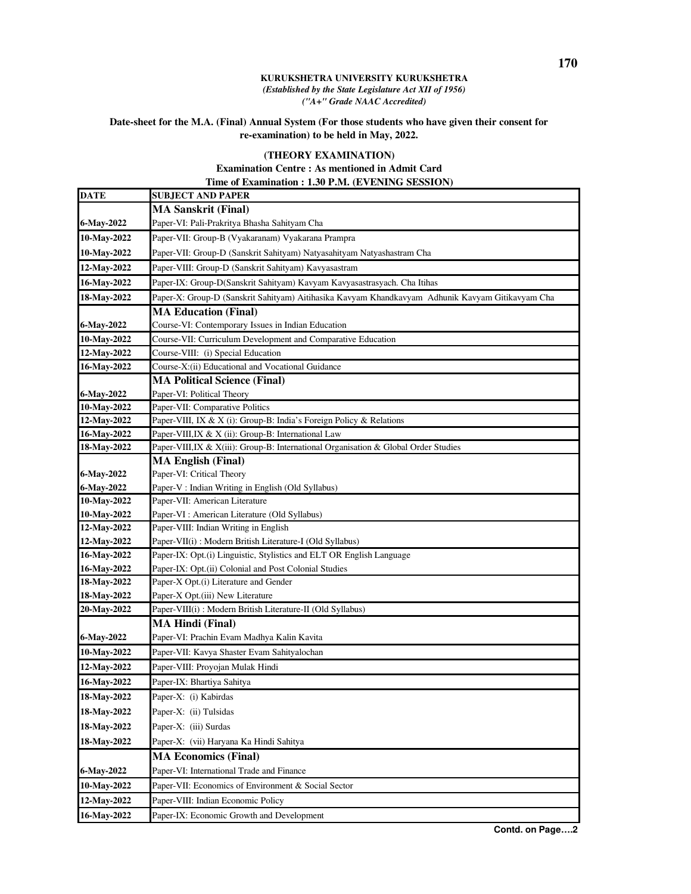# **Date-sheet for the M.A. (Final) Annual System (For those students who have given their consent for re-examination) to be held in May, 2022.**

# **(THEORY EXAMINATION)**

## **Examination Centre : As mentioned in Admit Card Time of Examination : 1.30 P.M. (EVENING SESSION)**

| DATE                       | <b>SUBJECT AND PAPER</b>                                                                         |
|----------------------------|--------------------------------------------------------------------------------------------------|
|                            | <b>MA Sanskrit (Final)</b>                                                                       |
| 6-May-2022                 | Paper-VI: Pali-Prakritya Bhasha Sahityam Cha                                                     |
| 10-May-2022                | Paper-VII: Group-B (Vyakaranam) Vyakarana Prampra                                                |
| 10-May-2022                | Paper-VII: Group-D (Sanskrit Sahityam) Natyasahityam Natyashastram Cha                           |
| 12-May-2022                | Paper-VIII: Group-D (Sanskrit Sahityam) Kavyasastram                                             |
| 16-May-2022                | Paper-IX: Group-D(Sanskrit Sahityam) Kavyam Kavyasastrasyach. Cha Itihas                         |
| 18-May-2022                | Paper-X: Group-D (Sanskrit Sahityam) Aitihasika Kavyam Khandkavyam Adhunik Kavyam Gitikavyam Cha |
|                            | <b>MA Education (Final)</b>                                                                      |
| 6-May-2022                 | Course-VI: Contemporary Issues in Indian Education                                               |
| 10-May-2022                | Course-VII: Curriculum Development and Comparative Education                                     |
| 12-May-2022                | Course-VIII: (i) Special Education                                                               |
| 16-May-2022                | Course-X:(ii) Educational and Vocational Guidance                                                |
|                            | <b>MA Political Science (Final)</b>                                                              |
| 6-May-2022                 | Paper-VI: Political Theory                                                                       |
| 10-May-2022                | Paper-VII: Comparative Politics                                                                  |
| 12-May-2022                | Paper-VIII, IX & X (i): Group-B: India's Foreign Policy & Relations                              |
| 16-May-2022                | Paper-VIII, IX & X (ii): Group-B: International Law                                              |
| 18-May-2022                | Paper-VIII, IX & X(iii): Group-B: International Organisation & Global Order Studies              |
|                            | <b>MA English (Final)</b>                                                                        |
| 6-May-2022                 | Paper-VI: Critical Theory                                                                        |
| 6-May-2022                 | Paper-V : Indian Writing in English (Old Syllabus)                                               |
| 10-May-2022<br>10-May-2022 | Paper-VII: American Literature<br>Paper-VI : American Literature (Old Syllabus)                  |
| 12-May-2022                | Paper-VIII: Indian Writing in English                                                            |
| 12-May-2022                | Paper-VII(i): Modern British Literature-I (Old Syllabus)                                         |
| 16-May-2022                | Paper-IX: Opt.(i) Linguistic, Stylistics and ELT OR English Language                             |
| 16-May-2022                | Paper-IX: Opt.(ii) Colonial and Post Colonial Studies                                            |
| 18-May-2022                | Paper-X Opt.(i) Literature and Gender                                                            |
| 18-May-2022                | Paper-X Opt.(iii) New Literature                                                                 |
| 20-May-2022                | Paper-VIII(i): Modern British Literature-II (Old Syllabus)                                       |
|                            | <b>MA Hindi (Final)</b>                                                                          |
| 6-May-2022                 | Paper-VI: Prachin Evam Madhya Kalin Kavita                                                       |
| 10-May-2022                | Paper-VII: Kavya Shaster Evam Sahityalochan                                                      |
| 12-May-2022                | Paper-VIII: Proyojan Mulak Hindi                                                                 |
| 16-May-2022                | Paper-IX: Bhartiya Sahitya                                                                       |
| 18-May-2022                | Paper-X: (i) Kabirdas                                                                            |
| 18-May-2022                | Paper-X: (ii) Tulsidas                                                                           |
| 18-May-2022                | Paper-X: (iii) Surdas                                                                            |
| 18-May-2022                | Paper-X: (vii) Haryana Ka Hindi Sahitya                                                          |
|                            | <b>MA Economics (Final)</b>                                                                      |
| 6-May-2022                 | Paper-VI: International Trade and Finance                                                        |
| 10-May-2022                | Paper-VII: Economics of Environment & Social Sector                                              |
| 12-May-2022                | Paper-VIII: Indian Economic Policy                                                               |
| 16-May-2022                | Paper-IX: Economic Growth and Development                                                        |
|                            |                                                                                                  |

**Contd. on Page….2**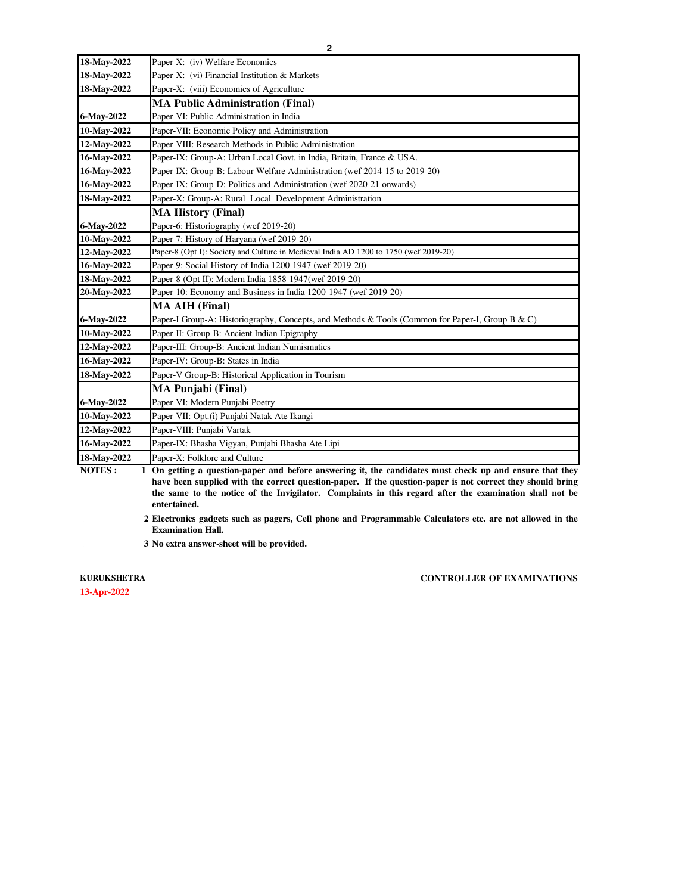| 18-May-2022 | Paper-X: (iv) Welfare Economics                                                                  |
|-------------|--------------------------------------------------------------------------------------------------|
| 18-May-2022 | Paper-X: (vi) Financial Institution & Markets                                                    |
| 18-May-2022 | Paper-X: (viii) Economics of Agriculture                                                         |
|             | <b>MA Public Administration (Final)</b>                                                          |
| 6-May-2022  | Paper-VI: Public Administration in India                                                         |
| 10-May-2022 | Paper-VII: Economic Policy and Administration                                                    |
| 12-May-2022 | Paper-VIII: Research Methods in Public Administration                                            |
| 16-May-2022 | Paper-IX: Group-A: Urban Local Govt. in India, Britain, France & USA.                            |
| 16-May-2022 | Paper-IX: Group-B: Labour Welfare Administration (wef 2014-15 to 2019-20)                        |
| 16-May-2022 | Paper-IX: Group-D: Politics and Administration (wef 2020-21 onwards)                             |
| 18-May-2022 | Paper-X: Group-A: Rural Local Development Administration                                         |
|             | <b>MA History (Final)</b>                                                                        |
| 6-May-2022  | Paper-6: Historiography (wef 2019-20)                                                            |
| 10-May-2022 | Paper-7: History of Haryana (wef 2019-20)                                                        |
| 12-May-2022 | Paper-8 (Opt I): Society and Culture in Medieval India AD 1200 to 1750 (wef 2019-20)             |
| 16-May-2022 | Paper-9: Social History of India 1200-1947 (wef 2019-20)                                         |
| 18-May-2022 | Paper-8 (Opt II): Modern India 1858-1947(wef 2019-20)                                            |
| 20-May-2022 | Paper-10: Economy and Business in India 1200-1947 (wef 2019-20)                                  |
|             | <b>MA AIH (Final)</b>                                                                            |
| 6-May-2022  | Paper-I Group-A: Historiography, Concepts, and Methods & Tools (Common for Paper-I, Group B & C) |
| 10-May-2022 | Paper-II: Group-B: Ancient Indian Epigraphy                                                      |
| 12-May-2022 | Paper-III: Group-B: Ancient Indian Numismatics                                                   |
| 16-May-2022 | Paper-IV: Group-B: States in India                                                               |
| 18-May-2022 | Paper-V Group-B: Historical Application in Tourism                                               |
|             | <b>MA Punjabi (Final)</b>                                                                        |
| 6-May-2022  | Paper-VI: Modern Punjabi Poetry                                                                  |
| 10-May-2022 | Paper-VII: Opt.(i) Punjabi Natak Ate Ikangi                                                      |
| 12-May-2022 | Paper-VIII: Punjabi Vartak                                                                       |
| 16-May-2022 | Paper-IX: Bhasha Vigyan, Punjabi Bhasha Ate Lipi                                                 |
| 18-May-2022 | Paper-X: Folklore and Culture                                                                    |
|             |                                                                                                  |

**NOTES : 1 On getting a question-paper and before answering it, the candidates must check up and ensure that they have been supplied with the correct question-paper. If the question-paper is not correct they should bring the same to the notice of the Invigilator. Complaints in this regard after the examination shall not be entertained.**

. **2 Electronics gadgets such as pagers, Cell phone and Programmable Calculators etc. are not allowed in the Examination Hall.**

. **3 No extra answer-sheet will be provided.**

**13-Apr-2022 KURUKSHETRA**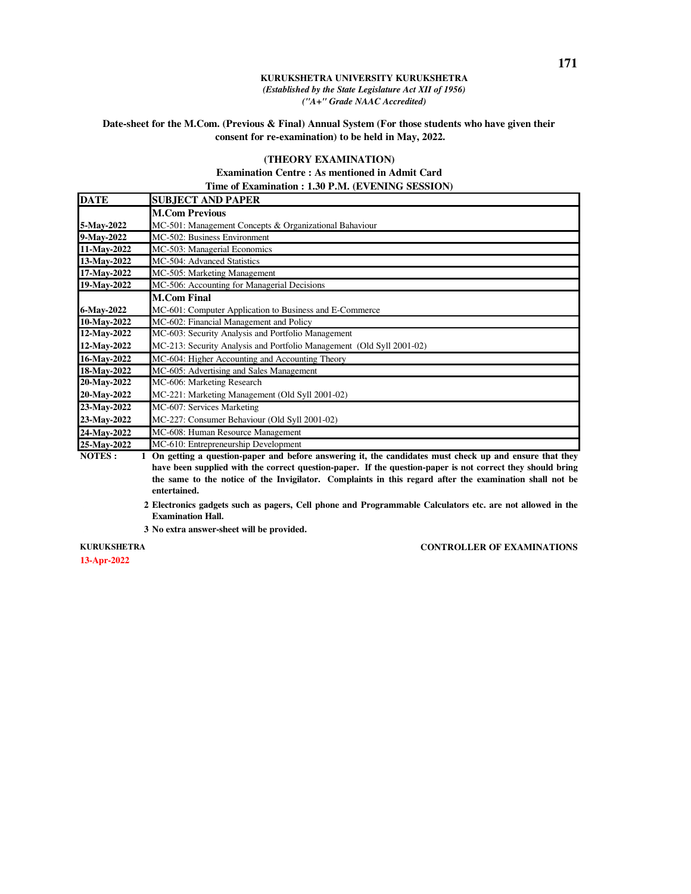## **Date-sheet for the M.Com. (Previous & Final) Annual System (For those students who have given their consent for re-examination) to be held in May, 2022.**

### **(THEORY EXAMINATION)**

### **Examination Centre : As mentioned in Admit Card Time of Examination : 1.30 P.M. (EVENING SESSION)**

| <b>DATE</b> | <b>SUBJECT AND PAPER</b>                                                                                       |
|-------------|----------------------------------------------------------------------------------------------------------------|
|             | <b>M.Com Previous</b>                                                                                          |
| 5-May-2022  | MC-501: Management Concepts & Organizational Bahaviour                                                         |
| 9-May-2022  | MC-502: Business Environment                                                                                   |
| 11-May-2022 | MC-503: Managerial Economics                                                                                   |
| 13-May-2022 | MC-504: Advanced Statistics                                                                                    |
| 17-May-2022 | MC-505: Marketing Management                                                                                   |
| 19-May-2022 | MC-506: Accounting for Managerial Decisions                                                                    |
|             | <b>M.Com Final</b>                                                                                             |
| 6-May-2022  | MC-601: Computer Application to Business and E-Commerce                                                        |
| 10-May-2022 | MC-602: Financial Management and Policy                                                                        |
| 12-May-2022 | MC-603: Security Analysis and Portfolio Management                                                             |
| 12-May-2022 | MC-213: Security Analysis and Portfolio Management (Old Syll 2001-02)                                          |
| 16-May-2022 | MC-604: Higher Accounting and Accounting Theory                                                                |
| 18-May-2022 | MC-605: Advertising and Sales Management                                                                       |
| 20-May-2022 | MC-606: Marketing Research                                                                                     |
| 20-May-2022 | MC-221: Marketing Management (Old Syll 2001-02)                                                                |
| 23-May-2022 | MC-607: Services Marketing                                                                                     |
| 23-May-2022 | MC-227: Consumer Behaviour (Old Syll 2001-02)                                                                  |
| 24-May-2022 | MC-608: Human Resource Management                                                                              |
| 25-May-2022 | MC-610: Entrepreneurship Development                                                                           |
| MOTEC.      | 1. On active a correction was a seal before accounting it the conditions would shall on and concome that their |

**NOTES : 1 On getting a question-paper and before answering it, the candidates must check up and ensure that they have been supplied with the correct question-paper. If the question-paper is not correct they should bring the same to the notice of the Invigilator. Complaints in this regard after the examination shall not be entertained.**

. **2 Electronics gadgets such as pagers, Cell phone and Programmable Calculators etc. are not allowed in the Examination Hall.**

. **3 No extra answer-sheet will be provided.**

### **13-Apr-2022 KURUKSHETRA**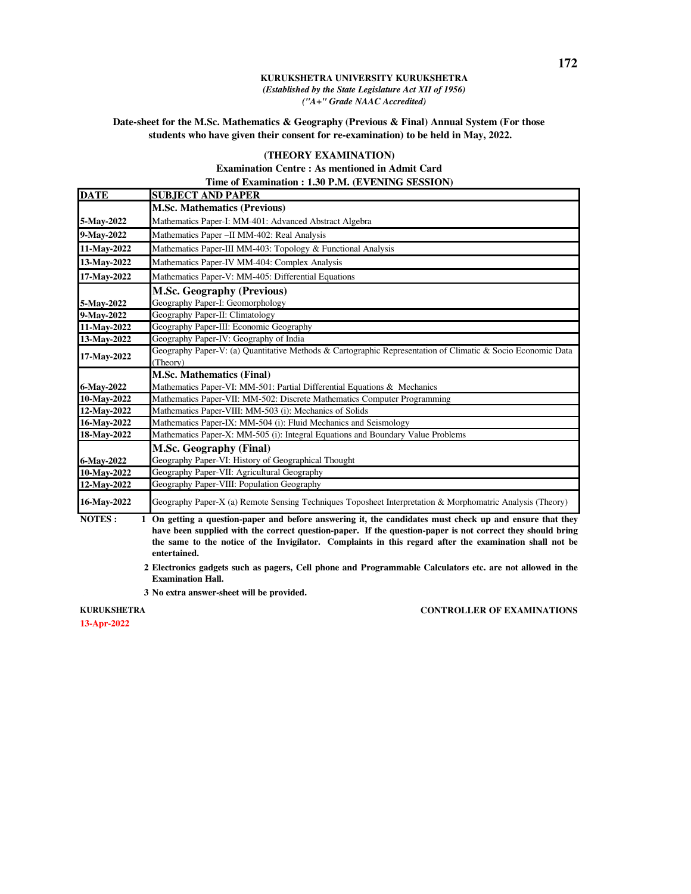**Date-sheet for the M.Sc. Mathematics & Geography (Previous & Final) Annual System (For those students who have given their consent for re-examination) to be held in May, 2022.** 

### **(THEORY EXAMINATION)**

**Examination Centre : As mentioned in Admit Card Time of Examination : 1.30 P.M. (EVENING SESSION)**

| <b>DATE</b> | <b>SUBJECT AND PAPER</b>                                                                                                |
|-------------|-------------------------------------------------------------------------------------------------------------------------|
|             | <b>M.Sc. Mathematics (Previous)</b>                                                                                     |
| 5-May-2022  | Mathematics Paper-I: MM-401: Advanced Abstract Algebra                                                                  |
| 9-May-2022  | Mathematics Paper - II MM-402: Real Analysis                                                                            |
| 11-May-2022 | Mathematics Paper-III MM-403: Topology & Functional Analysis                                                            |
| 13-May-2022 | Mathematics Paper-IV MM-404: Complex Analysis                                                                           |
| 17-May-2022 | Mathematics Paper-V: MM-405: Differential Equations                                                                     |
|             | <b>M.Sc. Geography (Previous)</b>                                                                                       |
| 5-May-2022  | Geography Paper-I: Geomorphology                                                                                        |
| 9-May-2022  | Geography Paper-II: Climatology                                                                                         |
| 11-May-2022 | Geography Paper-III: Economic Geography                                                                                 |
| 13-May-2022 | Geography Paper-IV: Geography of India                                                                                  |
| 17-May-2022 | Geography Paper-V: (a) Quantitative Methods & Cartographic Representation of Climatic & Socio Economic Data<br>(Theory) |
|             | <b>M.Sc. Mathematics (Final)</b>                                                                                        |
| 6-May-2022  | Mathematics Paper-VI: MM-501: Partial Differential Equations $\&$ Mechanics                                             |
| 10-May-2022 | Mathematics Paper-VII: MM-502: Discrete Mathematics Computer Programming                                                |
| 12-May-2022 | Mathematics Paper-VIII: MM-503 (i): Mechanics of Solids                                                                 |
| 16-May-2022 | Mathematics Paper-IX: MM-504 (i): Fluid Mechanics and Seismology                                                        |
| 18-May-2022 | Mathematics Paper-X: MM-505 (i): Integral Equations and Boundary Value Problems                                         |
|             | <b>M.Sc. Geography (Final)</b>                                                                                          |
| 6-May-2022  | Geography Paper-VI: History of Geographical Thought                                                                     |
| 10-May-2022 | Geography Paper-VII: Agricultural Geography                                                                             |
| 12-May-2022 | Geography Paper-VIII: Population Geography                                                                              |
| 16-May-2022 | Geography Paper-X (a) Remote Sensing Techniques Toposheet Interpretation & Morphomatric Analysis (Theory)               |
|             |                                                                                                                         |

**NOTES : 1 On getting a question-paper and before answering it, the candidates must check up and ensure that they have been supplied with the correct question-paper. If the question-paper is not correct they should bring the same to the notice of the Invigilator. Complaints in this regard after the examination shall not be entertained.**

- . **2 Electronics gadgets such as pagers, Cell phone and Programmable Calculators etc. are not allowed in the Examination Hall.**
- . **3 No extra answer-sheet will be provided.**

**KURUKSHETRA** 

**13-Apr-2022**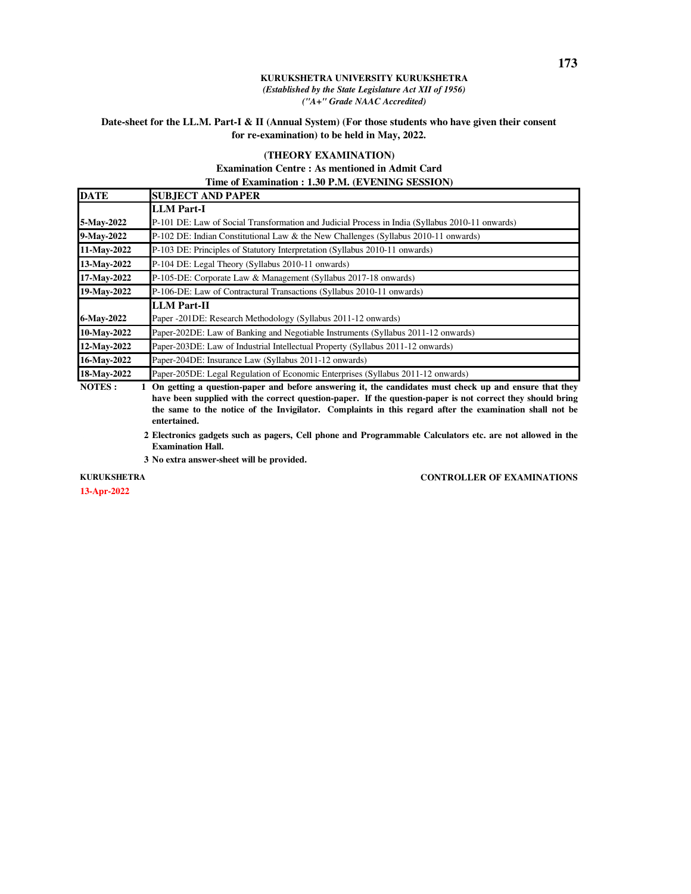### **Date-sheet for the LL.M. Part-I & II (Annual System) (For those students who have given their consent for re-examination) to be held in May, 2022.**

## **(THEORY EXAMINATION)**

### **Examination Centre : As mentioned in Admit Card Time of Examination : 1.30 P.M. (EVENING SESSION)**

| <b>DATE</b> | <b>SUBJECT AND PAPER</b>                                                                        |
|-------------|-------------------------------------------------------------------------------------------------|
|             | <b>LLM</b> Part-I                                                                               |
| 5-May-2022  | P-101 DE: Law of Social Transformation and Judicial Process in India (Syllabus 2010-11 onwards) |
| 9-May-2022  | P-102 DE: Indian Constitutional Law & the New Challenges (Syllabus 2010-11 onwards)             |
| 11-May-2022 | P-103 DE: Principles of Statutory Interpretation (Syllabus 2010-11 onwards)                     |
| 13-May-2022 | P-104 DE: Legal Theory (Syllabus 2010-11 onwards)                                               |
| 17-May-2022 | P-105-DE: Corporate Law & Management (Syllabus 2017-18 onwards)                                 |
| 19-May-2022 | P-106-DE: Law of Contractural Transactions (Syllabus 2010-11 onwards)                           |
|             | <b>LLM</b> Part-II                                                                              |
| 6-May-2022  | Paper -201DE: Research Methodology (Syllabus 2011-12 onwards)                                   |
| 10-May-2022 | Paper-202DE: Law of Banking and Negotiable Instruments (Syllabus 2011-12 onwards)               |
| 12-May-2022 | Paper-203DE: Law of Industrial Intellectual Property (Syllabus 2011-12 onwards)                 |
| 16-May-2022 | Paper-204DE: Insurance Law (Syllabus 2011-12 onwards)                                           |
| 18-May-2022 | Paper-205DE: Legal Regulation of Economic Enterprises (Syllabus 2011-12 onwards)                |

**NOTES :** 1 On getting a question-paper and before answering it, the candidates must check up and ensure that they **have been supplied with the correct question-paper. If the question-paper is not correct they should bring the same to the notice of the Invigilator. Complaints in this regard after the examination shall not be entertained.**

. **2 Electronics gadgets such as pagers, Cell phone and Programmable Calculators etc. are not allowed in the Examination Hall.**

. **3 No extra answer-sheet will be provided.**

**KURUKSHETRA** 

**13-Apr-2022**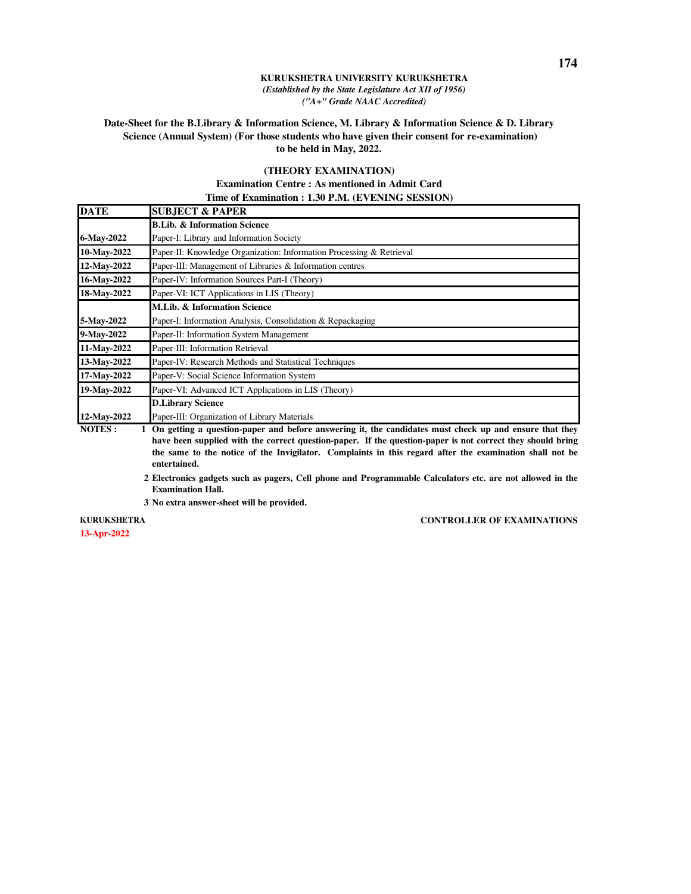## **Date-Sheet for the B.Library & Information Science, M. Library & Information Science & D. Library Science (Annual System) (For those students who have given their consent for re-examination) to be held in May, 2022.**

### **(THEORY EXAMINATION)**

### **Examination Centre : As mentioned in Admit Card Time of Examination : 1.30 P.M. (EVENING SESSION)**

| <b>DATE</b>   | <b>SUBJECT &amp; PAPER</b>                                                                                                                                                                                                                                                                                                                      |
|---------------|-------------------------------------------------------------------------------------------------------------------------------------------------------------------------------------------------------------------------------------------------------------------------------------------------------------------------------------------------|
|               | <b>B.Lib. &amp; Information Science</b>                                                                                                                                                                                                                                                                                                         |
| 6-May-2022    | Paper-I: Library and Information Society                                                                                                                                                                                                                                                                                                        |
| 10-May-2022   | Paper-II: Knowledge Organization: Information Processing & Retrieval                                                                                                                                                                                                                                                                            |
| 12-May-2022   | Paper-III: Management of Libraries & Information centres                                                                                                                                                                                                                                                                                        |
| 16-May-2022   | Paper-IV: Information Sources Part-I (Theory)                                                                                                                                                                                                                                                                                                   |
| 18-May-2022   | Paper-VI: ICT Applications in LIS (Theory)                                                                                                                                                                                                                                                                                                      |
|               | M.Lib. & Information Science                                                                                                                                                                                                                                                                                                                    |
| 5-May-2022    | Paper-I: Information Analysis, Consolidation & Repackaging                                                                                                                                                                                                                                                                                      |
| 9-May-2022    | Paper-II: Information System Management                                                                                                                                                                                                                                                                                                         |
| 11-May-2022   | Paper-III: Information Retrieval                                                                                                                                                                                                                                                                                                                |
| 13-May-2022   | Paper-IV: Research Methods and Statistical Techniques                                                                                                                                                                                                                                                                                           |
| 17-May-2022   | Paper-V: Social Science Information System                                                                                                                                                                                                                                                                                                      |
| 19-May-2022   | Paper-VI: Advanced ICT Applications in LIS (Theory)                                                                                                                                                                                                                                                                                             |
|               | <b>D.Library Science</b>                                                                                                                                                                                                                                                                                                                        |
| 12-May-2022   | Paper-III: Organization of Library Materials                                                                                                                                                                                                                                                                                                    |
| <b>NOTES:</b> | On getting a question-paper and before answering it, the candidates must check up and ensure that they<br>have been supplied with the correct question-paper. If the question-paper is not correct they should bring<br>the same to the notice of the Invigilator. Complaints in this regard after the examination shall not be<br>entertained. |

- . **2 Electronics gadgets such as pagers, Cell phone and Programmable Calculators etc. are not allowed in the Examination Hall.**
- . **3 No extra answer-sheet will be provided.**

**13-Apr-2022 KURUKSHETRA**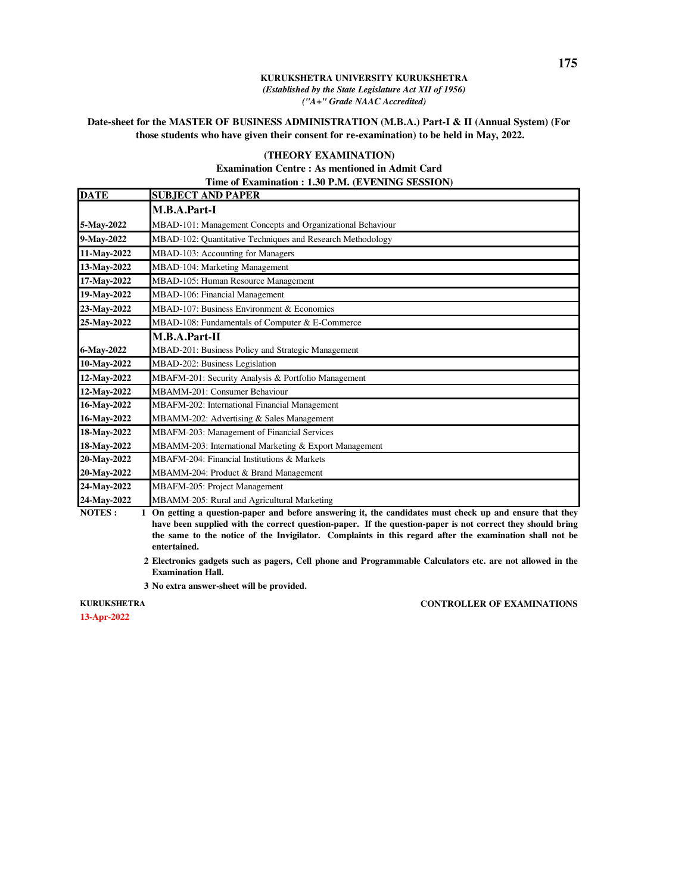## **Date-sheet for the MASTER OF BUSINESS ADMINISTRATION (M.B.A.) Part-I & II (Annual System) (For those students who have given their consent for re-examination) to be held in May, 2022.**

### **(THEORY EXAMINATION)**

### **Examination Centre : As mentioned in Admit Card Time of Examination : 1.30 P.M. (EVENING SESSION)**

| <b>DATE</b> | <b>SUBJECT AND PAPER</b>                                   |
|-------------|------------------------------------------------------------|
|             | M.B.A.Part-I                                               |
| 5-May-2022  | MBAD-101: Management Concepts and Organizational Behaviour |
| 9-May-2022  | MBAD-102: Quantitative Techniques and Research Methodology |
| 11-May-2022 | MBAD-103: Accounting for Managers                          |
| 13-May-2022 | MBAD-104: Marketing Management                             |
| 17-May-2022 | MBAD-105: Human Resource Management                        |
| 19-May-2022 | MBAD-106: Financial Management                             |
| 23-May-2022 | MBAD-107: Business Environment & Economics                 |
| 25-May-2022 | MBAD-108: Fundamentals of Computer & E-Commerce            |
|             | M.B.A.Part-II                                              |
| 6-May-2022  | MBAD-201: Business Policy and Strategic Management         |
| 10-May-2022 | MBAD-202: Business Legislation                             |
| 12-May-2022 | MBAFM-201: Security Analysis & Portfolio Management        |
| 12-May-2022 | MBAMM-201: Consumer Behaviour                              |
| 16-May-2022 | MBAFM-202: International Financial Management              |
| 16-May-2022 | MBAMM-202: Advertising & Sales Management                  |
| 18-May-2022 | MBAFM-203: Management of Financial Services                |
| 18-May-2022 | MBAMM-203: International Marketing & Export Management     |
| 20-May-2022 | MBAFM-204: Financial Institutions & Markets                |
| 20-May-2022 | MBAMM-204: Product & Brand Management                      |
| 24-May-2022 | MBAFM-205: Project Management                              |
| 24-May-2022 | MBAMM-205: Rural and Agricultural Marketing                |

**NOTES : 1 On getting a question-paper and before answering it, the candidates must check up and ensure that they have been supplied with the correct question-paper. If the question-paper is not correct they should bring the same to the notice of the Invigilator. Complaints in this regard after the examination shall not be entertained.**

- . **2 Electronics gadgets such as pagers, Cell phone and Programmable Calculators etc. are not allowed in the Examination Hall.**
- . **3 No extra answer-sheet will be provided.**

**KURUKSHETRA** 

**13-Apr-2022**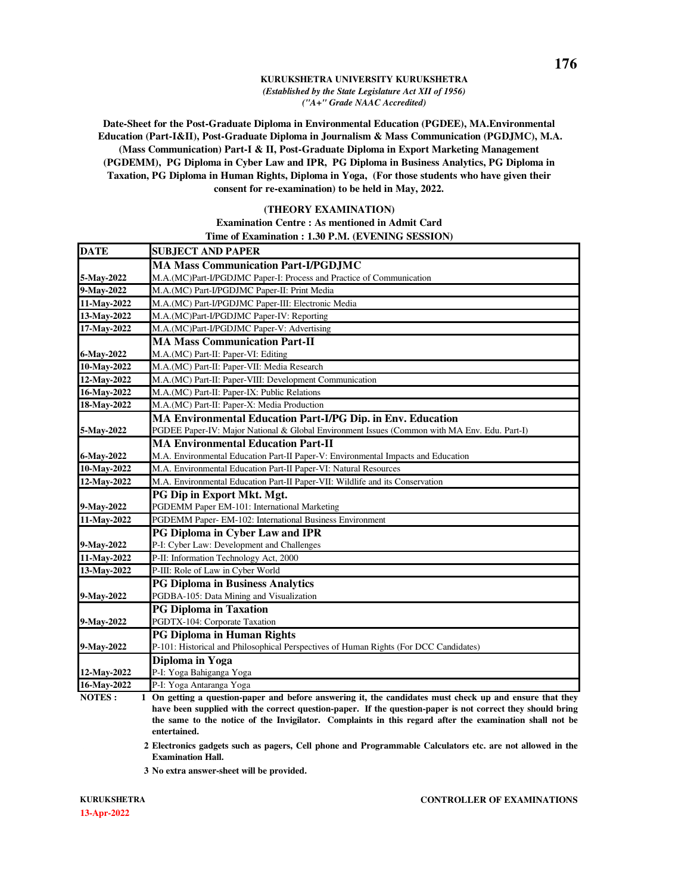**Date-Sheet for the Post-Graduate Diploma in Environmental Education (PGDEE), MA.Environmental Education (Part-I&II), Post-Graduate Diploma in Journalism & Mass Communication (PGDJMC), M.A. (Mass Communication) Part-I & II, Post-Graduate Diploma in Export Marketing Management (PGDEMM), PG Diploma in Cyber Law and IPR, PG Diploma in Business Analytics, PG Diploma in Taxation, PG Diploma in Human Rights, Diploma in Yoga, (For those students who have given their consent for re-examination) to be held in May, 2022.** 

### **(THEORY EXAMINATION)**

### **Examination Centre : As mentioned in Admit Card Time of Examination : 1.30 P.M. (EVENING SESSION)**

| <b>DATE</b> | <b>SUBJECT AND PAPER</b>                                                                     |
|-------------|----------------------------------------------------------------------------------------------|
|             | <b>MA Mass Communication Part-I/PGDJMC</b>                                                   |
| 5-May-2022  | M.A.(MC)Part-I/PGDJMC Paper-I: Process and Practice of Communication                         |
| 9-May-2022  | M.A.(MC) Part-I/PGDJMC Paper-II: Print Media                                                 |
| 11-May-2022 | M.A.(MC) Part-I/PGDJMC Paper-III: Electronic Media                                           |
| 13-May-2022 | M.A.(MC)Part-I/PGDJMC Paper-IV: Reporting                                                    |
| 17-May-2022 | M.A.(MC)Part-I/PGDJMC Paper-V: Advertising                                                   |
|             | <b>MA Mass Communication Part-II</b>                                                         |
| 6-May-2022  | M.A.(MC) Part-II: Paper-VI: Editing                                                          |
| 10-May-2022 | M.A.(MC) Part-II: Paper-VII: Media Research                                                  |
| 12-May-2022 | M.A.(MC) Part-II: Paper-VIII: Development Communication                                      |
| 16-May-2022 | M.A.(MC) Part-II: Paper-IX: Public Relations                                                 |
| 18-May-2022 | M.A.(MC) Part-II: Paper-X: Media Production                                                  |
|             | MA Environmental Education Part-I/PG Dip. in Env. Education                                  |
| 5-May-2022  | PGDEE Paper-IV: Major National & Global Environment Issues (Common with MA Env. Edu. Part-I) |
|             | <b>MA Environmental Education Part-II</b>                                                    |
| 6-May-2022  | M.A. Environmental Education Part-II Paper-V: Environmental Impacts and Education            |
| 10-May-2022 | M.A. Environmental Education Part-II Paper-VI: Natural Resources                             |
| 12-May-2022 | M.A. Environmental Education Part-II Paper-VII: Wildlife and its Conservation                |
|             | PG Dip in Export Mkt. Mgt.                                                                   |
| 9-May-2022  | PGDEMM Paper EM-101: International Marketing                                                 |
| 11-May-2022 | PGDEMM Paper- EM-102: International Business Environment                                     |
|             | <b>PG Diploma in Cyber Law and IPR</b>                                                       |
| 9-May-2022  | P-I: Cyber Law: Development and Challenges                                                   |
| 11-May-2022 | P-II: Information Technology Act, 2000                                                       |
| 13-May-2022 | P-III: Role of Law in Cyber World                                                            |
|             | <b>PG Diploma in Business Analytics</b>                                                      |
| 9-May-2022  | PGDBA-105: Data Mining and Visualization                                                     |
|             | <b>PG Diploma in Taxation</b>                                                                |
| 9-May-2022  | PGDTX-104: Corporate Taxation                                                                |
|             | <b>PG Diploma in Human Rights</b>                                                            |
| 9-May-2022  | P-101: Historical and Philosophical Perspectives of Human Rights (For DCC Candidates)        |
|             | Diploma in Yoga                                                                              |
| 12-May-2022 | P-I: Yoga Bahiganga Yoga                                                                     |
| 16-May-2022 | P-I: Yoga Antaranga Yoga                                                                     |

**NOTES : 1 On getting a question-paper and before answering it, the candidates must check up and ensure that they have been supplied with the correct question-paper. If the question-paper is not correct they should bring the same to the notice of the Invigilator. Complaints in this regard after the examination shall not be entertained.**

. **2 Electronics gadgets such as pagers, Cell phone and Programmable Calculators etc. are not allowed in the Examination Hall.**

. **3 No extra answer-sheet will be provided.**

**13-Apr-2022 KURUKSHETRA**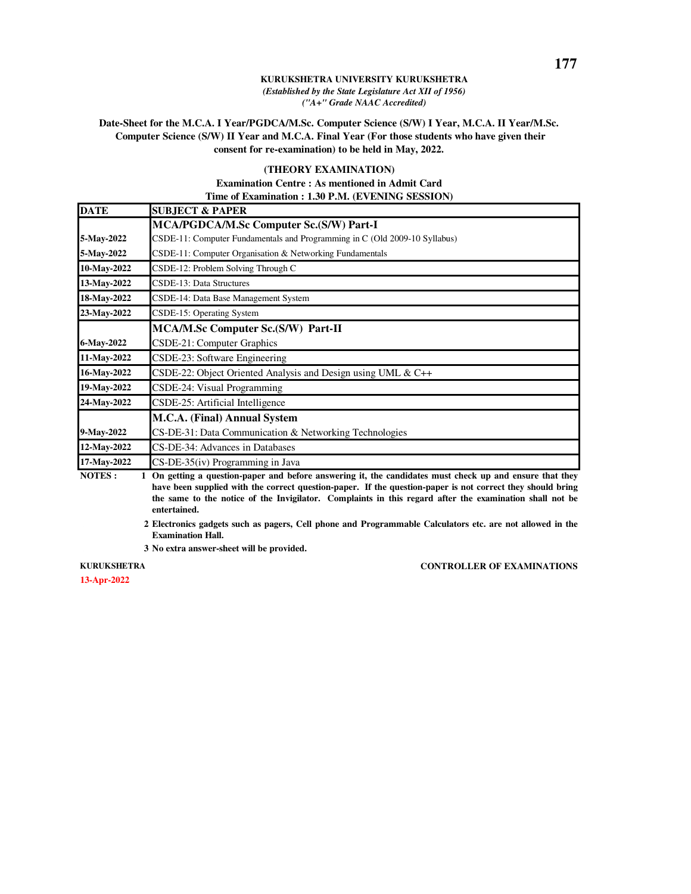## **Date-Sheet for the M.C.A. I Year/PGDCA/M.Sc. Computer Science (S/W) I Year, M.C.A. II Year/M.Sc. Computer Science (S/W) II Year and M.C.A. Final Year (For those students who have given their consent for re-examination) to be held in May, 2022.**

### **(THEORY EXAMINATION) Examination Centre : As mentioned in Admit Card Time of Examination : 1.30 P.M. (EVENING SESSION)**

| <b>DATE</b>              | <b>SUBJECT &amp; PAPER</b>                                                                             |
|--------------------------|--------------------------------------------------------------------------------------------------------|
|                          | MCA/PGDCA/M.Sc Computer Sc.(S/W) Part-I                                                                |
| 5-May-2022               | CSDE-11: Computer Fundamentals and Programming in C (Old 2009-10 Syllabus)                             |
| 5-May-2022               | CSDE-11: Computer Organisation & Networking Fundamentals                                               |
| 10-May-2022              | CSDE-12: Problem Solving Through C                                                                     |
| 13-May-2022              | CSDE-13: Data Structures                                                                               |
| 18-May-2022              | CSDE-14: Data Base Management System                                                                   |
| 23-May-2022              | CSDE-15: Operating System                                                                              |
|                          | <b>MCA/M.Sc Computer Sc.(S/W) Part-II</b>                                                              |
| 6-May-2022               | CSDE-21: Computer Graphics                                                                             |
| 11-May-2022              | CSDE-23: Software Engineering                                                                          |
| 16-May-2022              | CSDE-22: Object Oriented Analysis and Design using UML $& C++$                                         |
| 19-May-2022              | CSDE-24: Visual Programming                                                                            |
| 24-May-2022              | CSDE-25: Artificial Intelligence                                                                       |
|                          | M.C.A. (Final) Annual System                                                                           |
| 9-May-2022               | CS-DE-31: Data Communication & Networking Technologies                                                 |
| 12-May-2022              | CS-DE-34: Advances in Databases                                                                        |
| 17-May-2022              | CS-DE-35(iv) Programming in Java                                                                       |
| NOTEC.<br>$\blacksquare$ | On outting a greation nanon and before anomating it the condidates must sheel; up and engune that they |

**NOTES : 1 On getting a question-paper and before answering it, the candidates must check up and ensure that they have been supplied with the correct question-paper. If the question-paper is not correct they should bring the same to the notice of the Invigilator. Complaints in this regard after the examination shall not be entertained.**

. **2 Electronics gadgets such as pagers, Cell phone and Programmable Calculators etc. are not allowed in the Examination Hall.**

. **3 No extra answer-sheet will be provided.**

## **KURUKSHETRA**

**13-Apr-2022**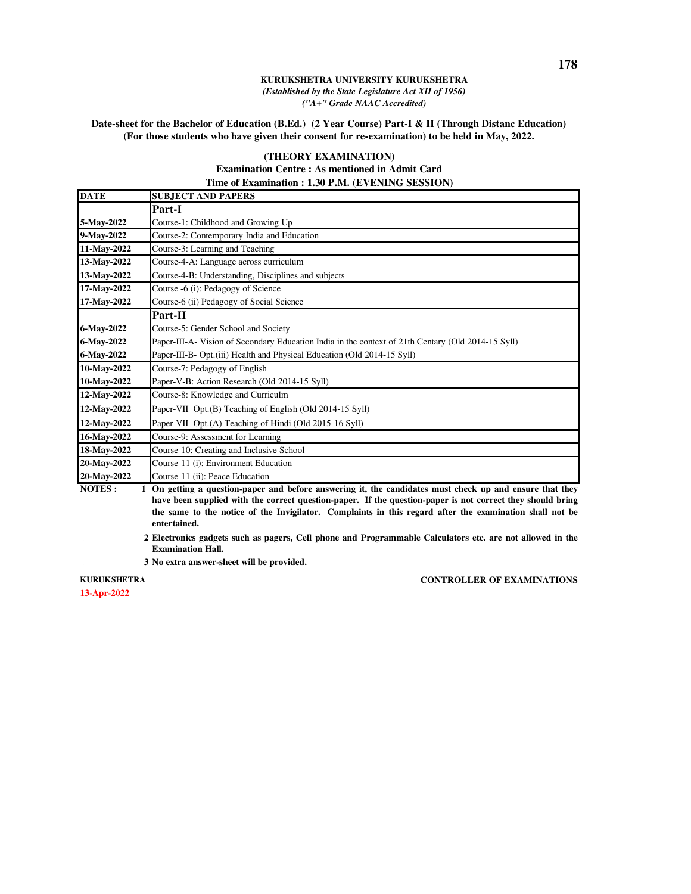**Date-sheet for the Bachelor of Education (B.Ed.) (2 Year Course) Part-I & II (Through Distanc Education) (For those students who have given their consent for re-examination) to be held in May, 2022.** 

### **(THEORY EXAMINATION)**

### **Examination Centre : As mentioned in Admit Card Time of Examination : 1.30 P.M. (EVENING SESSION)**

| <b>DATE</b> | <b>SUBJECT AND PAPERS</b>                                                                          |
|-------------|----------------------------------------------------------------------------------------------------|
|             | Part-I                                                                                             |
| 5-May-2022  | Course-1: Childhood and Growing Up                                                                 |
| 9-May-2022  | Course-2: Contemporary India and Education                                                         |
| 11-May-2022 | Course-3: Learning and Teaching                                                                    |
| 13-May-2022 | Course-4-A: Language across curriculum                                                             |
| 13-May-2022 | Course-4-B: Understanding, Disciplines and subjects                                                |
| 17-May-2022 | Course -6 (i): Pedagogy of Science                                                                 |
| 17-May-2022 | Course-6 (ii) Pedagogy of Social Science                                                           |
|             | Part-II                                                                                            |
| 6-May-2022  | Course-5: Gender School and Society                                                                |
| 6-May-2022  | Paper-III-A- Vision of Secondary Education India in the context of 21th Centary (Old 2014-15 Syll) |
| 6-May-2022  | Paper-III-B- Opt.(iii) Health and Physical Education (Old 2014-15 Syll)                            |
| 10-May-2022 | Course-7: Pedagogy of English                                                                      |
| 10-May-2022 | Paper-V-B: Action Research (Old 2014-15 Syll)                                                      |
| 12-May-2022 | Course-8: Knowledge and Curriculm                                                                  |
| 12-May-2022 | Paper-VII Opt.(B) Teaching of English (Old 2014-15 Syll)                                           |
| 12-May-2022 | Paper-VII Opt.(A) Teaching of Hindi (Old 2015-16 Syll)                                             |
| 16-May-2022 | Course-9: Assessment for Learning                                                                  |
| 18-May-2022 | Course-10: Creating and Inclusive School                                                           |
| 20-May-2022 | Course-11 (i): Environment Education                                                               |
| 20-May-2022 | Course-11 (ii): Peace Education                                                                    |

**NOTES : 1 On getting a question-paper and before answering it, the candidates must check up and ensure that they have been supplied with the correct question-paper. If the question-paper is not correct they should bring the same to the notice of the Invigilator. Complaints in this regard after the examination shall not be entertained.**

. **2 Electronics gadgets such as pagers, Cell phone and Programmable Calculators etc. are not allowed in the Examination Hall.**

. **3 No extra answer-sheet will be provided.**

**KURUKSHETRA**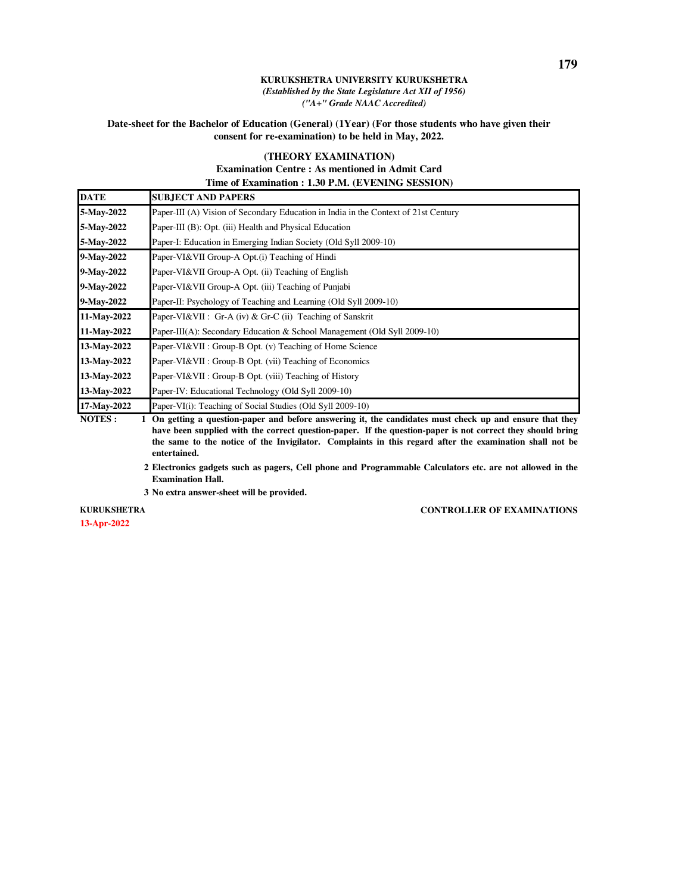### **Date-sheet for the Bachelor of Education (General) (1Year) (For those students who have given their consent for re-examination) to be held in May, 2022.**

### **(THEORY EXAMINATION)**

### **Examination Centre : As mentioned in Admit Card Time of Examination : 1.30 P.M. (EVENING SESSION)**

| <b>DATE</b> | <b>SUBJECT AND PAPERS</b>                                                                                                                    |
|-------------|----------------------------------------------------------------------------------------------------------------------------------------------|
| 5-May-2022  | Paper-III (A) Vision of Secondary Education in India in the Context of 21st Century                                                          |
| 5-May-2022  | Paper-III (B): Opt. (iii) Health and Physical Education                                                                                      |
| 5-May-2022  | Paper-I: Education in Emerging Indian Society (Old Syll 2009-10)                                                                             |
| 9-May-2022  | Paper-VI&VII Group-A Opt.(i) Teaching of Hindi                                                                                               |
| 9-May-2022  | Paper-VI&VII Group-A Opt. (ii) Teaching of English                                                                                           |
| 9-May-2022  | Paper-VI&VII Group-A Opt. (iii) Teaching of Punjabi                                                                                          |
| 9-May-2022  | Paper-II: Psychology of Teaching and Learning (Old Syll 2009-10)                                                                             |
| 11-May-2022 | Paper-VI&VII : Gr-A (iv) & Gr-C (ii) Teaching of Sanskrit                                                                                    |
| 11-May-2022 | Paper-III(A): Secondary Education & School Management (Old Syll 2009-10)                                                                     |
| 13-May-2022 | Paper-VI&VII : Group-B Opt. (v) Teaching of Home Science                                                                                     |
| 13-May-2022 | Paper-VI&VII : Group-B Opt. (vii) Teaching of Economics                                                                                      |
| 13-May-2022 | Paper-VI&VII : Group-B Opt. (viii) Teaching of History                                                                                       |
| 13-May-2022 | Paper-IV: Educational Technology (Old Syll 2009-10)                                                                                          |
| 17-May-2022 | Paper-VI(i): Teaching of Social Studies (Old Syll 2009-10)                                                                                   |
| MATHE       | 1. $\Omega$ , and a second contract that $1.9$ , a second contract $\Omega$ and $\Omega$ and $\Omega$ and $\Omega$ and $\Omega$ and $\Omega$ |

**NOTES : 1 On getting a question-paper and before answering it, the candidates must check up and ensure that they have been supplied with the correct question-paper. If the question-paper is not correct they should bring the same to the notice of the Invigilator. Complaints in this regard after the examination shall not be entertained.**

. **2 Electronics gadgets such as pagers, Cell phone and Programmable Calculators etc. are not allowed in the Examination Hall.**

. **3 No extra answer-sheet will be provided.**

**13-Apr-2022 KURUKSHETRA**